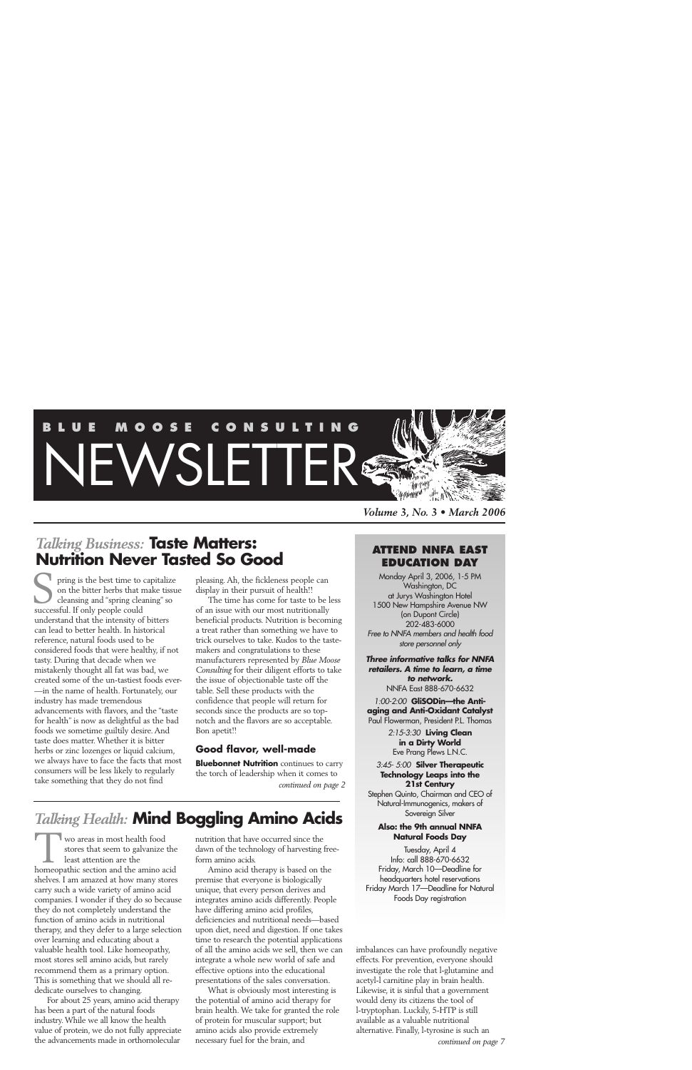# **BLUE MOOSE CONSULT** EWSLETTER<sup>&</sup> *'tennem*"

*Volume 3, No. 3 • March 2006*

# *Talking Business:* **Taste Matters: Nutrition Never Tasted So Good**

pring is the best time to capitalize on the bitter herbs that make tissue cleansing and "spring cleaning" so successful. If only people could successful. If only people could understand that the intensity of bitters can lead to better health. In historical reference, natural foods used to be considered foods that were healthy, if not tasty. During that decade when we mistakenly thought all fat was bad, we created some of the un-tastiest foods ever- —in the name of health. Fortunately, our industry has made tremendous advancements with flavors, and the "taste for health" is now as delightful as the bad foods we sometime guiltily desire. And taste does matter. Whether it is bitter herbs or zinc lozenges or liquid calcium, we always have to face the facts that most consumers will be less likely to regularly take something that they do not find

pleasing. Ah, the fickleness people can display in their pursuit of health!!

The time has come for taste to be less of an issue with our most nutritionally beneficial products. Nutrition is becoming a treat rather than something we have to trick ourselves to take. Kudos to the tastemakers and congratulations to these manufacturers represented by *Blue Moose Consulting* for their diligent efforts to take the issue of objectionable taste off the table. Sell these products with the confidence that people will return for seconds since the products are so topnotch and the flavors are so acceptable. Bon apetit!!

## **Good flavor, well-made**

**Bluebonnet Nutrition** continues to carry the torch of leadership when it comes to *continued on page 2*

# *Talking Health:* **Mind Boggling Amino Acids**

wo areas in most health food stores that seem to galvanize the least attention are the wo areas in most health food<br>stores that seem to galvanize the<br>least attention are the<br>homeopathic section and the amino acid shelves. I am amazed at how many stores carry such a wide variety of amino acid companies. I wonder if they do so because they do not completely understand the function of amino acids in nutritional therapy, and they defer to a large selection over learning and educating about a valuable health tool. Like homeopathy, most stores sell amino acids, but rarely recommend them as a primary option. This is something that we should all rededicate ourselves to changing.

For about 25 years, amino acid therapy has been a part of the natural foods industry. While we all know the health value of protein, we do not fully appreciate the advancements made in orthomolecular

nutrition that have occurred since the dawn of the technology of harvesting freeform amino acids.

Amino acid therapy is based on the premise that everyone is biologically unique, that every person derives and integrates amino acids differently. People have differing amino acid profiles, deficiencies and nutritional needs—based upon diet, need and digestion. If one takes time to research the potential applications of all the amino acids we sell, then we can integrate a whole new world of safe and effective options into the educational presentations of the sales conversation.

What is obviously most interesting is the potential of amino acid therapy for brain health. We take for granted the role of protein for muscular support; but amino acids also provide extremely necessary fuel for the brain, and

#### **ATTEND NNFA EAST EDUCATION DAY**

Monday April 3, 2006, 1-5 PM Washington, DC at Jurys Washington Hotel 1500 New Hampshire Avenue NW (on Dupont Circle) 202-483-6000 *Free to NNFA members and health food store personnel only*

*Three informative talks for NNFA retailers. A time to learn, a time to network.* NNFA East 888-670-6632

*1:00-2:00* **GliSODin—the Antiaging and Anti-Oxidant Catalyst** Paul Flowerman, President P.L. Thomas

> *2:15-3:30* **Living Clean in a Dirty World** Eve Prang Plews L.N.C.

#### *3:45- 5:00* **Silver Therapeutic Technology Leaps into the 21st Century** Stephen Quinto, Chairman and CEO of

Natural-Immunogenics, makers of Sovereign Silver

#### **Also: the 9th annual NNFA Natural Foods Day**

Tuesday, April 4 Info: call 888-670-6632 Friday, March 10—Deadline for headquarters hotel reservations Friday March 17—Deadline for Natural Foods Day registration

imbalances can have profoundly negative effects. For prevention, everyone should investigate the role that l-glutamine and acetyl-l carnitine play in brain health. Likewise, it is sinful that a government would deny its citizens the tool of l-tryptophan. Luckily, 5-HTP is still available as a valuable nutritional alternative. Finally, l-tyrosine is such an *continued on page 7*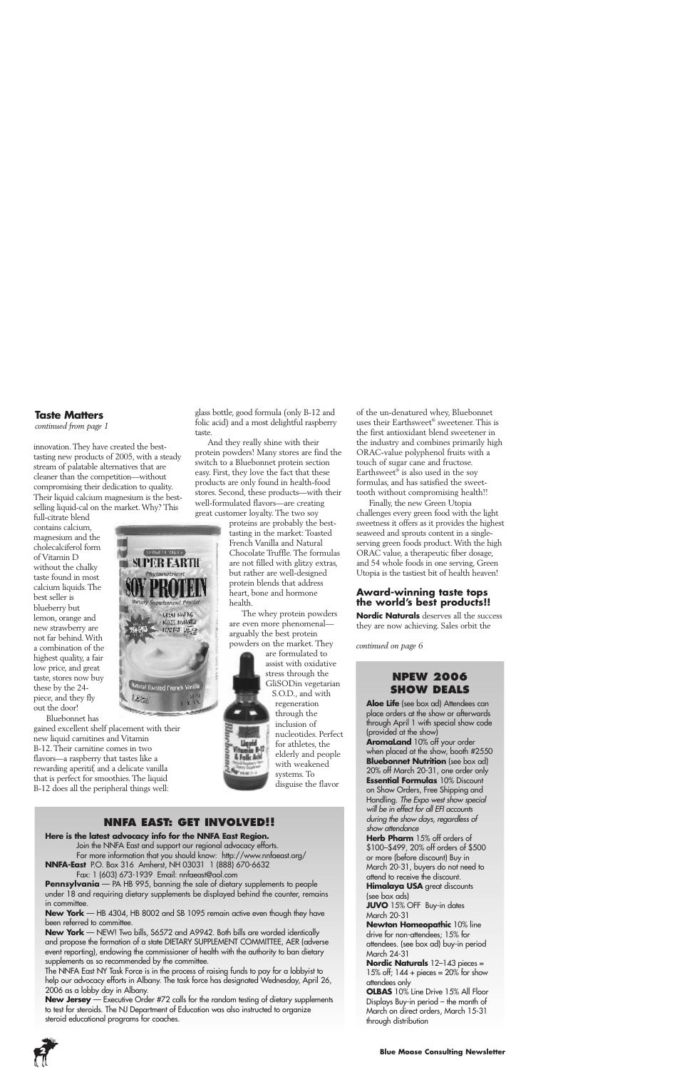#### **Taste Matters**

*continued from page 1*

innovation. They have created the besttasting new products of 2005, with a steady stream of palatable alternatives that are cleaner than the competition—without compromising their dedication to quality. Their liquid calcium magnesium is the bestselling liquid-cal on the market. Why? This

full-citrate blend contains calcium, magnesium and the cholecalciferol form of Vitamin D without the chalky taste found in most calcium liquids. The best seller is blueberry but lemon, orange and new strawberry are not far behind. With a combination of the highest quality, a fair low price, and great taste, stores now buy these by the 24 piece, and they fly out the door! Bluebonnet has

**MOTIVE OF TRULLA** SUPER EARTH Phytomatricat **Betaly Supplement Pawder CREAT INSTING** · KISTS NSTARTED  $-100F$  T  $10.2$ <mark>Amiral Tousted French Varilla</mark> التراكيد

gained excellent shelf placement with their new liquid carnitines and Vitamin B-12. Their carnitine comes in two flavors—a raspberry that tastes like a rewarding aperitif, and a delicate vanilla that is perfect for smoothies. The liquid B-12 does all the peripheral things well:

glass bottle, good formula (only B-12 and folic acid) and a most delightful raspberry taste.

And they really shine with their protein powders! Many stores are find the switch to a Bluebonnet protein section easy. First, they love the fact that these products are only found in health-food stores. Second, these products—with their well-formulated flavors—are creating great customer loyalty. The two soy

proteins are probably the besttasting in the market: Toasted French Vanilla and Natural Chocolate Truffle. The formulas are not filled with glitzy extras, but rather are well-designed protein blends that address heart, bone and hormone health.

The whey protein powders are even more phenomenal arguably the best protein powders on the market. They

> are formulated to assist with oxidative stress through the GliSODin vegetarian

S.O.D., and with regeneration through the inclusion of nucleotides. Perfect for athletes, the elderly and people with weakened systems. To disguise the flavor

# **NNFA EAST: GET INVOLVED!!**

#### **Here is the latest advocacy info for the NNFA East Region.**

Join the NNFA East and support our regional advocacy efforts. For more information that you should know: http://www.nnfaeast.org/

**NNFA-East** P.O. Box 316 Amherst, NH 03031 1 (888) 670-6632 Fax: 1 (603) 673-1939 Email: nnfaeast@aol.com

**Pennsylvania** – PA HB 995, banning the sale of dietary supplements to people under 18 and requiring dietary supplements be displayed behind the counter, remains in committee.

**New York** — HB 4304, HB 8002 and SB 1095 remain active even though they have been referred to committee.

**New York** — NEW! Two bills, S6572 and A9942. Both bills are worded identically and propose the formation of a state DIETARY SUPPLEMENT COMMITTEE, AER (adverse event reporting), endowing the commissioner of health with the authority to ban dietary supplements as so recommended by the committee.

The NNFA East NY Task Force is in the process of raising funds to pay for a lobbyist to help our advocacy efforts in Albany. The task force has designated Wednesday, April 26, 2006 as a lobby day in Albany.

**New Jersey** — Executive Order #72 calls for the random testing of dietary supplements to test for steroids. The NJ Department of Education was also instructed to organize steroid educational programs for coaches.



Finally, the new Green Utopia challenges every green food with the light sweetness it offers as it provides the highest seaweed and sprouts content in a singleserving green foods product. With the high ORAC value, a therapeutic fiber dosage, and 54 whole foods in one serving, Green Utopia is the tastiest bit of health heaven!

#### **Award-winning taste tops the world's best products!!**

**Nordic Naturals** deserves all the success they are now achieving. Sales orbit the

*continued on page 6*

#### **NPEW 2006 SHOW DEALS**

**Aloe Life** (see box ad) Attendees can place orders at the show or afterwards through April 1 with special show code (provided at the show)

**AromaLand** 10% off your order when placed at the show, booth #2550 **Bluebonnet Nutrition** (see box ad) 20% off March 20-31, one order only **Essential Formulas** 10% Discount on Show Orders, Free Shipping and Handling. *The Expo west show special will be in effect for all EFI accounts during the show days, regardless of show attendance* 

**Herb Pharm** 15% off orders of \$100–\$499, 20% off orders of \$500 or more (before discount) Buy in March 20-31, buyers do not need to attend to receive the discount.

**Himalaya USA** great discounts (see box ads)

**JUVO** 15% OFF Buy-in dates March 20-31

**Newton Homeopathic** 10% line drive for non-attendees; 15% for attendees. (see box ad) buy-in period March 24-31

**Nordic Naturals** 12–143 pieces = 15% off;  $144 +$  pieces =  $20%$  for show attendees only

**OLBAS** 10% Line Drive 15% All Floor Displays Buy-in period – the month of March on direct orders, March 15-31 through distribution



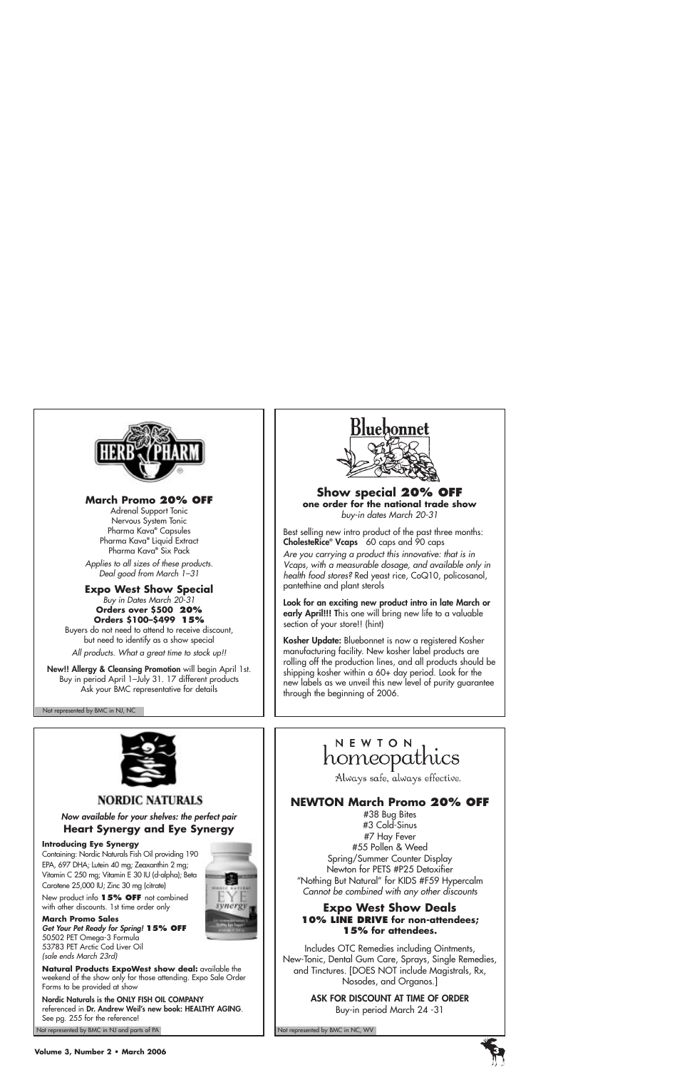

#### **March Promo 20% OFF**

Adrenal Support Tonic Nervous System Tonic Pharma Kava**®** Capsules Pharma Kava**®** Liquid Extract Pharma Kava**®** Six Pack

*Applies to all sizes of these products. Deal good from March 1–31*

# **Expo West Show Special**

*Buy in Dates March 20-31* **Orders over \$500 20% Orders \$100–\$499 15%**

Buyers do not need to attend to receive discount, but need to identify as a show special

*All products. What a great time to stock up!!*

**New!! Allergy & Cleansing Promotion** will begin April 1st. Buy in period April 1–July 31. 17 different products Ask your BMC representative for details

Not represented by BMC in NJ, NC



#### **Show special 20% OFF one order for the national trade show** *buy-in dates March 20-31*

Best selling new intro product of the past three months: **CholesteRice® Vcaps** 60 caps and 90 caps

*Are you carrying a product this innovative: that is in Vcaps, with a measurable dosage, and available only in health food stores?* Red yeast rice, CoQ10, policosanol, pantethine and plant sterols

**Look for an exciting new product intro in late March or early April!!! T**his one will bring new life to a valuable section of your store!! (hint)

**Kosher Update:** Bluebonnet is now a registered Kosher manufacturing facility. New kosher label products are rolling off the production lines, and all products should be shipping kosher within a 60+ day period. Look for the new labels as we unveil this new level of purity guarantee through the beginning of 2006.



**NORDIC NATURALS** 

*Now available for your shelves: the perfect pair*  **Heart Synergy and Eye Synergy**

#### **Introducing Eye Synergy**

Containing: Nordic Naturals Fish Oil providing 190 EPA, 697 DHA; Lutein 40 mg; Zeaxanthin 2 mg; Vitamin C 250 mg; Vitamin E 30 IU (d-alpha); Beta Carotene 25,000 IU; Zinc 30 mg (citrate)



New product info **15% OFF** not combined with other discounts. 1st time order only

**March Promo Sales** *Get Your Pet Ready for Spring!* **15% OFF** 50502 PET Omega-3 Formula 53783 PET Arctic Cod Liver Oil *(sale ends March 23rd)*



**Natural Products ExpoWest show deal:** available the weekend of the show only for those attending. Expo Sale Order Forms to be provided at show

**Nordic Naturals is the ONLY FISH OIL COMPANY** referenced in **Dr. Andrew Weil's new book: HEALTHY AGING**. See pg. 255 for the reference!

Not represented by BMC in NJ and parts of PA Not represented by BMC in NC, WV Not represented by BMC in NC, WV

# NEWION<br>homeopathics

Always safe, always effective.

## **NEWTON March Promo 20% OFF**

#38 Bug Bites #3 Cold-Sinus #7 Hay Fever #55 Pollen & Weed Spring/Summer Counter Display Newton for PETS #P25 Detoxifier "Nothing But Natural" for KIDS #F59 Hypercalm *Cannot be combined with any other discounts* 

#### **Expo West Show Deals 10% LINE DRIVE for non-attendees; 15% for attendees.**

Includes OTC Remedies including Ointments, New-Tonic, Dental Gum Care, Sprays, Single Remedies, and Tinctures. [DOES NOT include Magistrals, Rx, Nosodes, and Organos.]

> **ASK FOR DISCOUNT AT TIME OF ORDER** Buy-in period March 24 -31

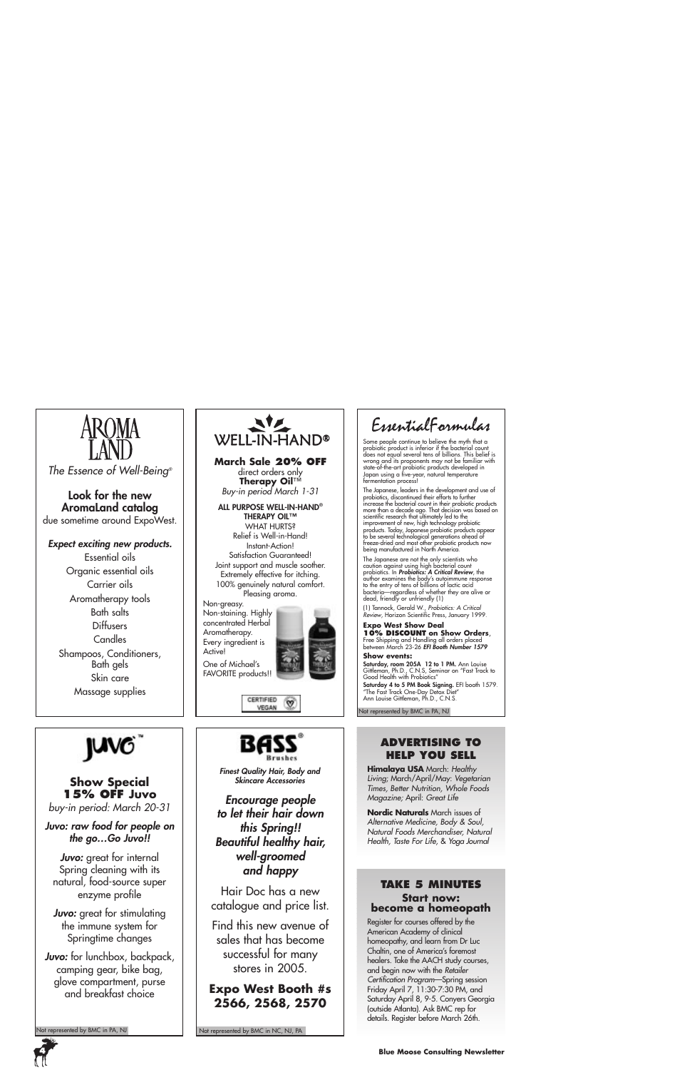

*The Essence of Well-Being®*

#### **Look for the new AromaLand catalog** due sometime around ExpoWest.

*Expect exciting new products.*

Essential oils Organic essential oils Carrier oils Aromatherapy tools Bath salts Diffusers **Candles** Shampoos, Conditioners, Bath gels Skin care Massage supplies



**Show Special 15% OFF Juvo** *buy-in period: March 20-31*

*Juvo: raw food for people on the go…Go Juvo!!*

*Juvo:* great for internal Spring cleaning with its natural, food-source super enzyme profile

*Juvo:* great for stimulating the immune system for Springtime changes

*Juvo:* for lunchbox, backpack, camping gear, bike bag, glove compartment, purse and breakfast choice

Not represented by BMC in PA, NJ



**March Sale 20% OFF** direct orders only **Therapy Oil**™ *Buy-in period March 1-31*

**ALL PURPOSE WELL-IN-HAND® THERAPY OIL™** WHAT HURTS? Relief is Well-in-Hand! Instant-Action! Satisfaction Guaranteed! Joint support and muscle soother. Extremely effective for itching. 100% genuinely natural comfort. Pleasing aroma.

Non-greasy. Non-staining. Highly concentrated Herbal Aromatherapy. Every ingredient is Active! One of Michael's



જ

CERTIFIED VEGAN



*Finest Quality Hair, Body and Skincare Accessories*

*Encourage people to let their hair down this Spring!! Beautiful healthy hair, well-groomed and happy*

Hair Doc has a new catalogue and price list.

Find this new avenue of sales that has become successful for many stores in 2005.

## **Expo West Booth #s 2566, 2568, 2570**

Not represented by BMC in NC, NJ, PA

EssentialFormulas

Some people continue to believe the myth that a probiotic product is inferior if the bacterial count<br>does not equal several tens of billions. This belief is<br>wrong and its proponents may not be familiar with<br>state-of-the-art probiotic products developed in<br>Japan using a fermentation process!

The Japanese, leaders in the development and use of probiotics, discontinued their efforts to further increase the bacterial count in their probiotic products more than a decade ago. That decision was based on<br>scientific research that ultimately led to the<br>improvement of new, high technology probiotic<br>products. Today, Japanese probiotic products appear<br>to be several technologica freeze-dried and most other probiotic products now being manufactured in North America.

The Japanese are not the only scientists who caution against using high bacterial count probiotics. In *Probiotics: A Critical Review*, the author examines the body's autoimmune response to the entry of tens of billions of lactic acid bacteria—regardless of whether they are alive or dead, friendly or unfriendly (1)

(1) Tannock, Gerald W., *Probiotics: A Critical Review*, Horizon Scientific Press, January 1999.

**Expo West Show Deal<br>10% DISCOUNT** on Show Orders, **10% DISCOUNT on Show Orders**, Free Shipping and Handling all orders placed between March 23-26 *EFI Booth Number 1579*

#### **Show events:**

**Saturday, room 205A 12 to 1 PM.** Ann Louise<br>Gittleman, Ph.D., C.N.S, Seminar on "Fast Track to<br>Good Health with Probiotics"

**Saturday 4 to 5 PM Book Signing.** EFI booth 1579.<br>"The Fast Track One-Day Detox Diet"<br>Ann Louise Gittleman, Ph.D., C.N.S.

Not represented by BMC in PA, NJ

#### **ADVERTISING TO HELP YOU SELL**

**Himalaya USA** March: *Healthy Living*; March/April/May: *Vegetarian Times, Better Nutrition, Whole Foods Magazine;* April: *Great Life*

**Nordic Naturals** March issues of *Alternative Medicine, Body & Soul, Natural Foods Merchandiser, Natural Health, Taste For Life,* & *Yoga Journal* 

#### **TAKE 5 MINUTES Start now: become a homeopath**

Register for courses offered by the American Academy of clinical homeopathy, and learn from Dr Luc Chaltin, one of America's foremost healers. Take the AACH study courses, and begin now with the *Retailer Certification Program*—Spring session Friday April 7, 11:30-7:30 PM, and Saturday April 8, 9-5. Conyers Georgia (outside Atlanta). Ask BMC rep for details. Register before March 26th.

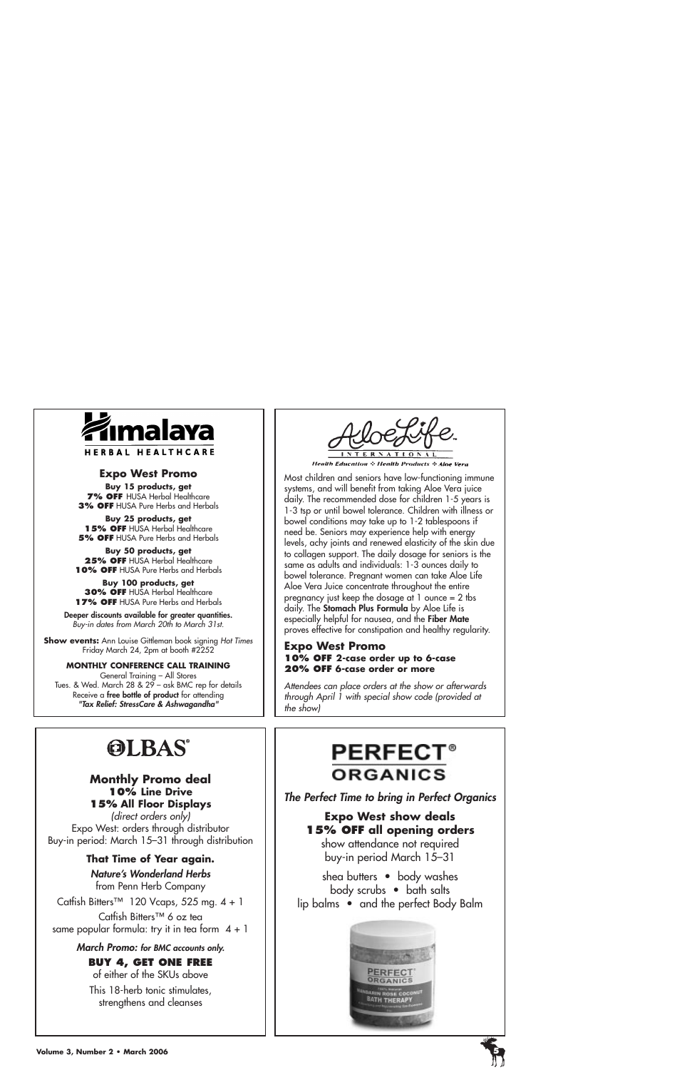

#### **Expo West Promo**

**Buy 15 products, get 7% OFF HUSA Herbal Healthcare 3% OFF** HUSA Pure Herbs and Herbals

**Buy 25 products, get 15% OFF** HUSA Herbal Healthcare **5% OFF** HUSA Pure Herbs and Herbals

**Buy 50 products, get 25% OFF** HUSA Herbal Healthcare **10% OFF** HUSA Pure Herbs and Herbals

**Buy 100 products, get 30% OFF** HUSA Herbal Healthcare **17% OFF** HUSA Pure Herbs and Herbals

**Deeper discounts available for greater quantities.** *Buy-in dates from March 20th to March 31st.*

**Show events:** Ann Louise Gittleman book signing *Hot Times* Friday March 24, 2pm at booth #2252

**MONTHLY CONFERENCE CALL TRAINING** General Training – All Stores Tues. & Wed. March 28 & 29 – ask BMC rep for details Receive a **free bottle of product** for attending *"Tax Relief: StressCare & Ashwagandha"*



Most children and seniors have low-functioning immune systems, and will benefit from taking Aloe Vera juice daily. The recommended dose for children 1-5 years is 1-3 tsp or until bowel tolerance. Children with illness or bowel conditions may take up to 1-2 tablespoons if need be. Seniors may experience help with energy levels, achy joints and renewed elasticity of the skin due to collagen support. The daily dosage for seniors is the same as adults and individuals: 1-3 ounces daily to bowel tolerance. Pregnant women can take Aloe Life Aloe Vera Juice concentrate throughout the entire pregnancy just keep the dosage at  $1$  ounce  $= 2$  tbs daily. The **Stomach Plus Formula** by Aloe Life is especially helpful for nausea, and the **Fiber Mate** proves effective for constipation and healthy regularity.

#### **Expo West Promo 10% OFF 2-case order up to 6-case 20% OFF 6-case order or more**

*Attendees can place orders at the show or afterwards through April 1 with special show code (provided at the show)* 

# **OLBAS®**

#### **Monthly Promo deal 10% Line Drive 15% All Floor Displays**

*(direct orders only)*  Expo West: orders through distributor Buy-in period: March 15–31 through distribution

## **That Time of Year again.**

#### *Nature's Wonderland Herbs*

from Penn Herb Company

Catfish Bitters™ 120 Vcaps, 525 mg.  $4 + 1$ 

Catfish Bitters™ 6 oz tea same popular formula: try it in tea form  $4 + 1$ 

#### *March Promo: for BMC accounts only.*

## **BUY 4, GET ONE FREE**

of either of the SKUs above This 18-herb tonic stimulates, strengthens and cleanses

# **PERFECT® ORGANICS**

*The Perfect Time to bring in Perfect Organics*

# **Expo West show deals 15% OFF all opening orders**

show attendance not required buy-in period March 15–31

shea butters • body washes body scrubs • bath salts lip balms • and the perfect Body Balm



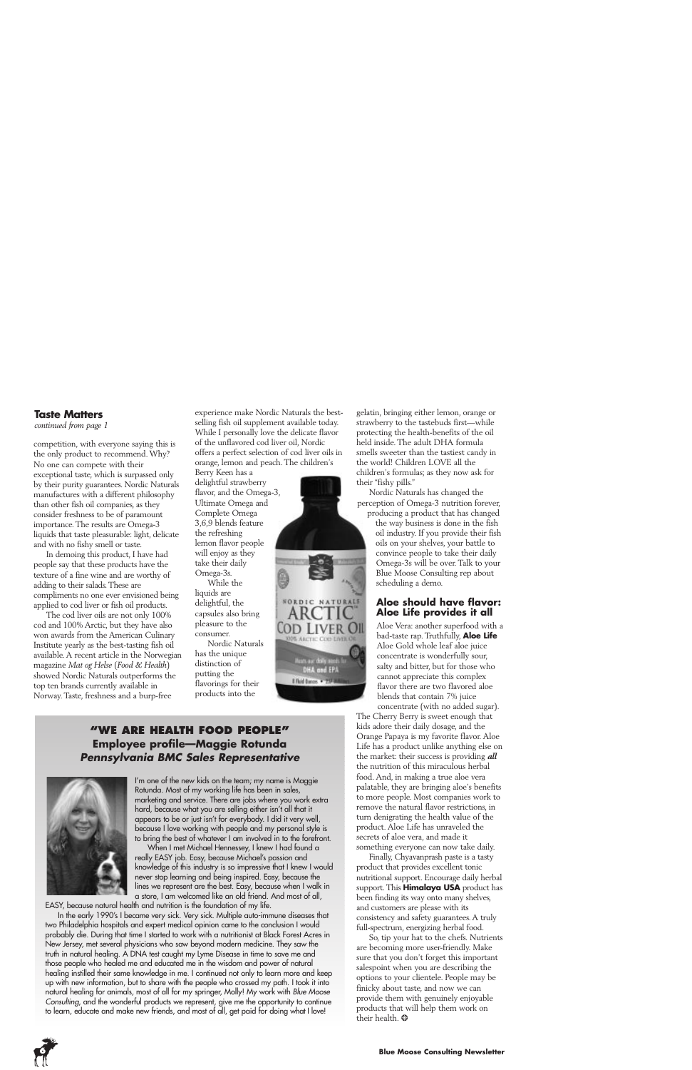#### **Taste Matters**

*continued from page 1*

competition, with everyone saying this is the only product to recommend. Why? No one can compete with their exceptional taste, which is surpassed only by their purity guarantees. Nordic Naturals manufactures with a different philosophy than other fish oil companies, as they consider freshness to be of paramount importance. The results are Omega-3 liquids that taste pleasurable: light, delicate and with no fishy smell or taste.

In demoing this product, I have had people say that these products have the texture of a fine wine and are worthy of adding to their salads. These are compliments no one ever envisioned being applied to cod liver or fish oil products.

The cod liver oils are not only 100% cod and 100% Arctic, but they have also won awards from the American Culinary Institute yearly as the best-tasting fish oil available. A recent article in the Norwegian magazine *Mat og Helse* (*Food & Health*) showed Nordic Naturals outperforms the top ten brands currently available in Norway. Taste, freshness and a burp-free

experience make Nordic Naturals the bestselling fish oil supplement available today. While I personally love the delicate flavor of the unflavored cod liver oil, Nordic offers a perfect selection of cod liver oils in orange, lemon and peach. The children's

Berry Keen has a delightful strawberry flavor, and the Omega-3, Ultimate Omega and Complete Omega 3,6,9 blends feature the refreshing lemon flavor people will enjoy as they take their daily Omega-3s.

While the liquids are delightful, the capsules also bring pleasure to the consumer.

Nordic Naturals has the unique distinction of putting the flavorings for their products into the



#### **"WE ARE HEALTH FOOD PEOPLE" Employee profile—Maggie Rotunda** *Pennsylvania BMC Sales Representative*



I'm one of the new kids on the team; my name is Maggie Rotunda. Most of my working life has been in sales, marketing and service. There are jobs where you work extra hard, because what you are selling either isn't all that it appears to be or just isn't for everybody. I did it very well, because I love working with people and my personal style is to bring the best of whatever I am involved in to the forefront.

When I met Michael Hennessey, I knew I had found a really EASY job. Easy, because Michael's passion and knowledge of this industry is so impressive that I knew I would never stop learning and being inspired. Easy, because the lines we represent are the best. Easy, because when I walk in a store, I am welcomed like an old friend. And most of all,

EASY, because natural health and nutrition is the foundation of my life. In the early 1990's I became very sick. Very sick. Multiple auto-immune diseases that two Philadelphia hospitals and expert medical opinion came to the conclusion I would probably die. During that time I started to work with a nutritionist at Black Forest Acres in New Jersey, met several physicians who saw beyond modern medicine. They saw the truth in natural healing. A DNA test caught my Lyme Disease in time to save me and those people who healed me and educated me in the wisdom and power of natural healing instilled their same knowledge in me. I continued not only to learn more and keep up with new information, but to share with the people who crossed my path. I took it into natural healing for animals, most of all for my springer, Molly! My work with *Blue Moose Consulting*, and the wonderful products we represent, give me the opportunity to continue to learn, educate and make new friends, and most of all, get paid for doing what I love!



Nordic Naturals has changed the perception of Omega-3 nutrition forever,

producing a product that has changed the way business is done in the fish oil industry. If you provide their fish oils on your shelves, your battle to convince people to take their daily Omega-3s will be over. Talk to your Blue Moose Consulting rep about scheduling a demo.

#### **Aloe should have flavor: Aloe Life provides it all**

Aloe Vera: another superfood with a bad-taste rap. Truthfully, **Aloe Life** Aloe Gold whole leaf aloe juice concentrate is wonderfully sour, salty and bitter, but for those who cannot appreciate this complex flavor there are two flavored aloe blends that contain 7% juice concentrate (with no added sugar).

The Cherry Berry is sweet enough that kids adore their daily dosage, and the Orange Papaya is my favorite flavor. Aloe Life has a product unlike anything else on the market: their success is providing *all* the nutrition of this miraculous herbal food. And, in making a true aloe vera palatable, they are bringing aloe's benefits to more people. Most companies work to remove the natural flavor restrictions, in turn denigrating the health value of the product. Aloe Life has unraveled the secrets of aloe vera, and made it something everyone can now take daily.

Finally, Chyavanprash paste is a tasty product that provides excellent tonic nutritional support. Encourage daily herbal support. This **Himalaya USA** product has been finding its way onto many shelves, and customers are please with its consistency and safety guarantees. A truly full-spectrum, energizing herbal food.

So, tip your hat to the chefs. Nutrients are becoming more user-friendly. Make sure that you don't forget this important salespoint when you are describing the options to your clientele. People may be finicky about taste, and now we can provide them with genuinely enjoyable products that will help them work on their health. \*

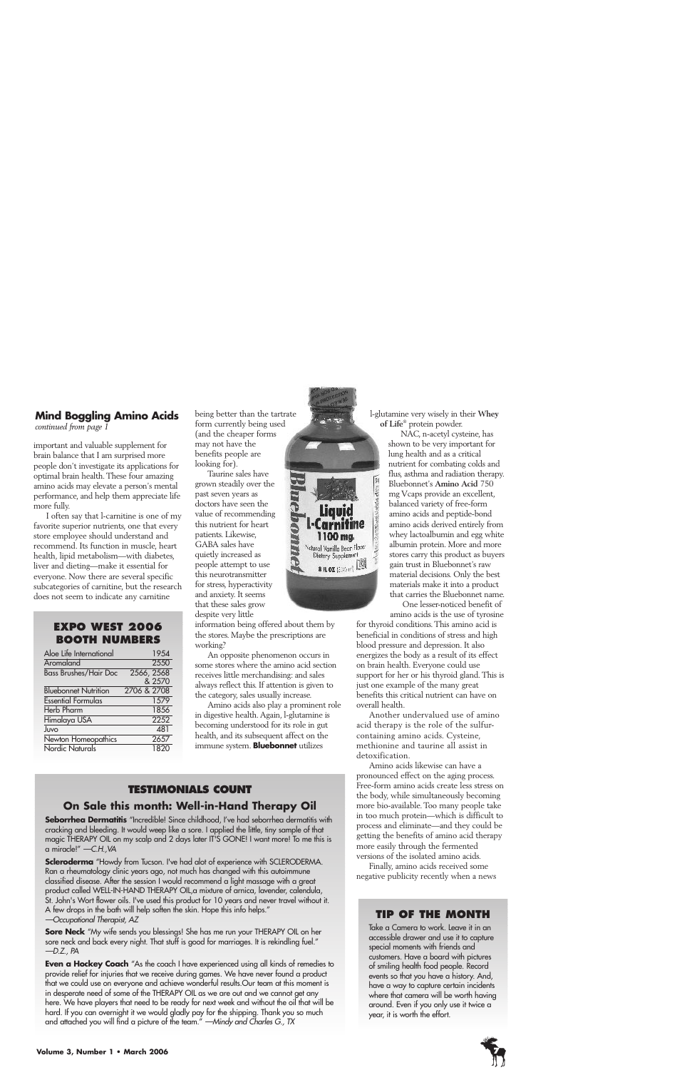## **Mind Boggling Amino Acids**

*continued from page 1*

important and valuable supplement for brain balance that I am surprised more people don't investigate its applications for optimal brain health. These four amazing amino acids may elevate a person's mental performance, and help them appreciate life more fully.

I often say that l-carnitine is one of my favorite superior nutrients, one that every store employee should understand and recommend. Its function in muscle, heart health, lipid metabolism—with diabetes, liver and dieting—make it essential for everyone. Now there are several specific subcategories of carnitine, but the research does not seem to indicate any carnitine

#### **EXPO WEST 2006 BOOTH NUMBERS**

| Aloe Life International      | 1954        |
|------------------------------|-------------|
| Aromaland                    | 2550        |
| <b>Bass Brushes/Hair Doc</b> | 2566, 2568  |
|                              | & 2570      |
| <b>Bluebonnet Nutrition</b>  | 2706 & 2708 |
| <b>Essential Formulas</b>    | 1579        |
| <b>Herb Pharm</b>            | 1856        |
| Himalaya USA                 | 2252        |
| Juvo                         | 481         |
| Newton Homeopathics          | 2657        |
| Nordic Naturals              | 1820        |

being better than the tartrate form currently being used (and the cheaper forms may not have the benefits people are looking for).

Taurine sales have grown steadily over the past seven years as doctors have seen the value of recommending this nutrient for heart patients. Likewise, GABA sales have quietly increased as people attempt to use this neurotransmitter for stress, hyperactivity and anxiety. It seems that these sales grow despite very little

information being offered about them by the stores. Maybe the prescriptions are working?

An opposite phenomenon occurs in some stores where the amino acid section receives little merchandising: and sales always reflect this. If attention is given to the category, sales usually increase.

Amino acids also play a prominent role in digestive health. Again, l-glutamine is becoming understood for its role in gut health, and its subsequent affect on the immune system. **Bluebonnet** utilizes

# **TESTIMONIALS COUNT**

## **On Sale this month: Well-in-Hand Therapy Oil**

**Seborrhea Dermatitis** "Incredible! Since childhood, I've had seborrhea dermatitis with cracking and bleeding. It would weep like a sore. I applied the little, tiny sample of that magic THERAPY OIL on my scalp and 2 days later IT'S GONE! I want more! To me this is a miracle!" *—C.H.,VA*

**Scleroderma** "Howdy from Tucson. I've had alot of experience with SCLERODERMA. Ran a rheumatology clinic years ago, not much has changed with this autoimmune classified disease. After the session I would recommend a light massage with a great product called WELL-IN-HAND THERAPY OIL,a mixture of arnica, lavender, calendula, St. John's Wort flower oils. I've used this product for 10 years and never travel without it. A few drops in the bath will help soften the skin. Hope this info helps." *—Occupational Therapist, AZ* 

**Sore Neck** "My wife sends you blessings! She has me run your THERAPY OIL on her sore neck and back every night. That stuff is good for marriages. It is rekindling fuel." *—D.Z., PA*

**Even a Hockey Coach** "As the coach I have experienced using all kinds of remedies to provide relief for injuries that we receive during games. We have never found a product that we could use on everyone and achieve wonderful results.Our team at this moment is in desperate need of some of the THERAPY OIL as we are out and we cannot get any here. We have players that need to be ready for next week and without the oil that will be hard. If you can overnight it we would gladly pay for the shipping. Thank you so much and attached you will find a picture of the team." *—Mindy and Charles G., TX*



l-glutamine very wisely in their **Whey of Life**® protein powder.

NAC, n-acetyl cysteine, has shown to be very important for lung health and as a critical nutrient for combating colds and flus, asthma and radiation therapy. Bluebonnet's **Amino Acid** 750 mg Vcaps provide an excellent, balanced variety of free-form amino acids and peptide-bond amino acids derived entirely from whey lactoalbumin and egg white albumin protein. More and more stores carry this product as buyers gain trust in Bluebonnet's raw material decisions. Only the best materials make it into a product that carries the Bluebonnet name.

One lesser-noticed benefit of amino acids is the use of tyrosine

for thyroid conditions. This amino acid is beneficial in conditions of stress and high blood pressure and depression. It also energizes the body as a result of its effect on brain health. Everyone could use support for her or his thyroid gland. This is just one example of the many great benefits this critical nutrient can have on overall health.

Another undervalued use of amino acid therapy is the role of the sulfurcontaining amino acids. Cysteine, methionine and taurine all assist in detoxification.

Amino acids likewise can have a pronounced effect on the aging process. Free-form amino acids create less stress on the body, while simultaneously becoming more bio-available. Too many people take in too much protein—which is difficult to process and eliminate—and they could be getting the benefits of amino acid therapy more easily through the fermented versions of the isolated amino acids.

Finally, amino acids received some negative publicity recently when a news

#### **TIP OF THE MONTH**

Take a Camera to work. Leave it in an accessible drawer and use it to capture special moments with friends and customers. Have a board with pictures of smiling health food people. Record events so that you have a history. And, have a way to capture certain incidents where that camera will be worth having around. Even if you only use it twice a year, it is worth the effort.